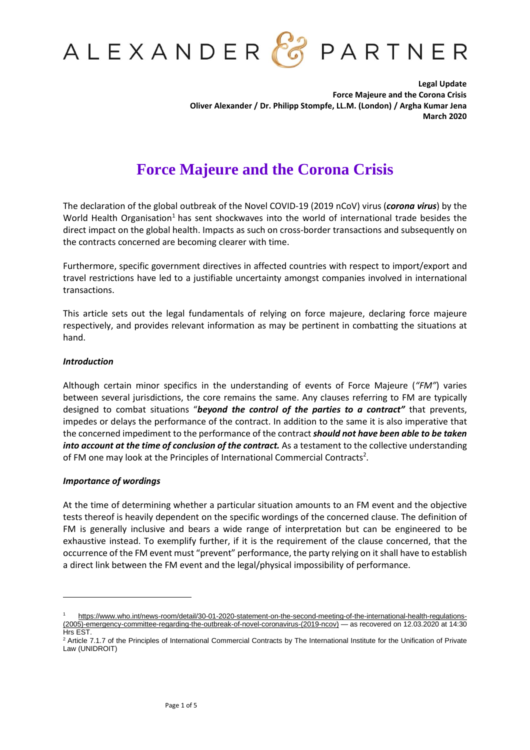

**Legal Update Force Majeure and the Corona Crisis Oliver Alexander / Dr. Philipp Stompfe, LL.M. (London) / Argha Kumar Jena March 2020**

# **Force Majeure and the Corona Crisis**

The declaration of the global outbreak of the Novel COVID-19 (2019 nCoV) virus (*corona virus*) by the World Health Organisation<sup>1</sup> has sent shockwaves into the world of international trade besides the direct impact on the global health. Impacts as such on cross-border transactions and subsequently on the contracts concerned are becoming clearer with time.

Furthermore, specific government directives in affected countries with respect to import/export and travel restrictions have led to a justifiable uncertainty amongst companies involved in international transactions.

This article sets out the legal fundamentals of relying on force majeure, declaring force majeure respectively, and provides relevant information as may be pertinent in combatting the situations at hand.

## *Introduction*

Although certain minor specifics in the understanding of events of Force Majeure (*"FM"*) varies between several jurisdictions, the core remains the same. Any clauses referring to FM are typically designed to combat situations "*beyond the control of the parties to a contract"* that prevents, impedes or delays the performance of the contract. In addition to the same it is also imperative that the concerned impediment to the performance of the contract *should not have been able to be taken into account at the time of conclusion of the contract.* As a testament to the collective understanding of FM one may look at the Principles of International Commercial Contracts<sup>2</sup>.

# *Importance of wordings*

At the time of determining whether a particular situation amounts to an FM event and the objective tests thereof is heavily dependent on the specific wordings of the concerned clause. The definition of FM is generally inclusive and bears a wide range of interpretation but can be engineered to be exhaustive instead. To exemplify further, if it is the requirement of the clause concerned, that the occurrence of the FM event must "prevent" performance, the party relying on it shall have to establish a direct link between the FM event and the legal/physical impossibility of performance.

[https://www.who.int/news-room/detail/30-01-2020-statement-on-the-second-meeting-of-the-international-health-regulations-](https://www.who.int/news-room/detail/30-01-2020-statement-on-the-second-meeting-of-the-international-health-regulations-(2005)-emergency-committee-regarding-the-outbreak-of-novel-coronavirus-(2019-ncov)) [\(2005\)-emergency-committee-regarding-the-outbreak-of-novel-coronavirus-\(2019-ncov\)](https://www.who.int/news-room/detail/30-01-2020-statement-on-the-second-meeting-of-the-international-health-regulations-(2005)-emergency-committee-regarding-the-outbreak-of-novel-coronavirus-(2019-ncov)) — as recovered on 12.03.2020 at 14:30 Hrs EST.

<sup>&</sup>lt;sup>2</sup> Article 7.1.7 of the Principles of International Commercial Contracts by The International Institute for the Unification of Private Law (UNIDROIT)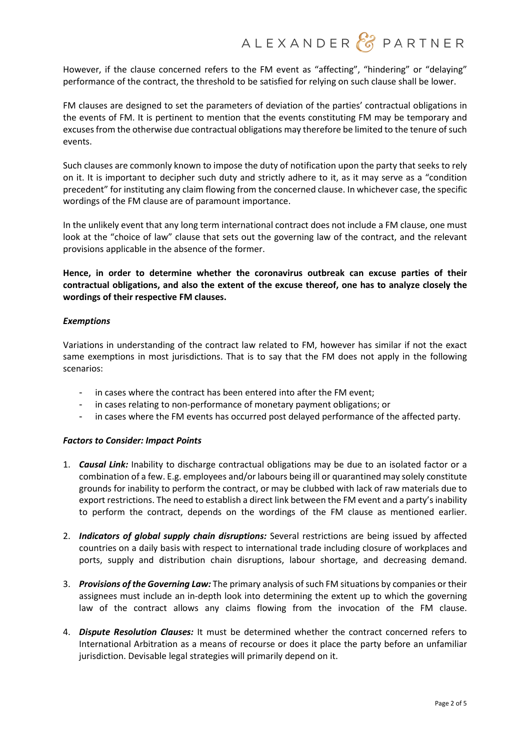However, if the clause concerned refers to the FM event as "affecting", "hindering" or "delaying" performance of the contract, the threshold to be satisfied for relying on such clause shall be lower.

FM clauses are designed to set the parameters of deviation of the parties' contractual obligations in the events of FM. It is pertinent to mention that the events constituting FM may be temporary and excuses from the otherwise due contractual obligations may therefore be limited to the tenure of such events.

Such clauses are commonly known to impose the duty of notification upon the party that seeks to rely on it. It is important to decipher such duty and strictly adhere to it, as it may serve as a "condition precedent" for instituting any claim flowing from the concerned clause. In whichever case, the specific wordings of the FM clause are of paramount importance.

In the unlikely event that any long term international contract does not include a FM clause, one must look at the "choice of law" clause that sets out the governing law of the contract, and the relevant provisions applicable in the absence of the former.

**Hence, in order to determine whether the coronavirus outbreak can excuse parties of their contractual obligations, and also the extent of the excuse thereof, one has to analyze closely the wordings of their respective FM clauses.**

# *Exemptions*

Variations in understanding of the contract law related to FM, however has similar if not the exact same exemptions in most jurisdictions. That is to say that the FM does not apply in the following scenarios:

- in cases where the contract has been entered into after the FM event;
- in cases relating to non-performance of monetary payment obligations; or
- in cases where the FM events has occurred post delayed performance of the affected party.

# *Factors to Consider: Impact Points*

- 1. *Causal Link:* Inability to discharge contractual obligations may be due to an isolated factor or a combination of a few. E.g. employees and/or labours being ill or quarantined may solely constitute grounds for inability to perform the contract, or may be clubbed with lack of raw materials due to export restrictions. The need to establish a direct link between the FM event and a party's inability to perform the contract, depends on the wordings of the FM clause as mentioned earlier.
- 2. *Indicators of global supply chain disruptions:* Several restrictions are being issued by affected countries on a daily basis with respect to international trade including closure of workplaces and ports, supply and distribution chain disruptions, labour shortage, and decreasing demand.
- 3. *Provisions of the Governing Law:* The primary analysis ofsuch FM situations by companies or their assignees must include an in-depth look into determining the extent up to which the governing law of the contract allows any claims flowing from the invocation of the FM clause.
- 4. *Dispute Resolution Clauses:* It must be determined whether the contract concerned refers to International Arbitration as a means of recourse or does it place the party before an unfamiliar jurisdiction. Devisable legal strategies will primarily depend on it.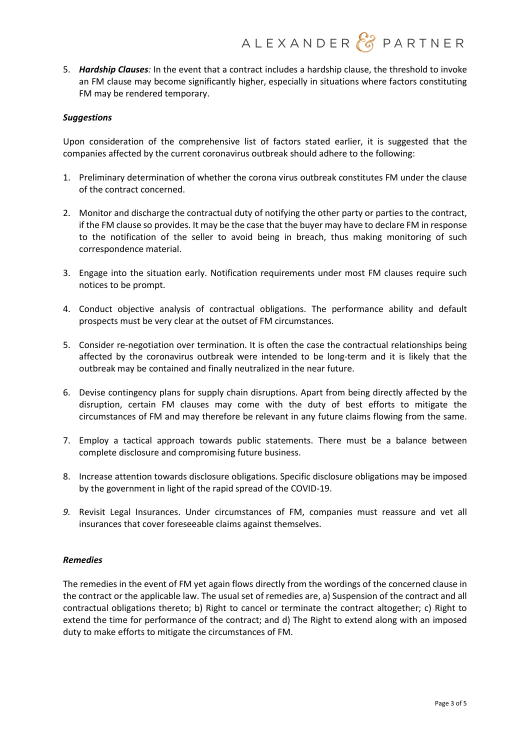5. *Hardship Clauses:* In the event that a contract includes a hardship clause, the threshold to invoke an FM clause may become significantly higher, especially in situations where factors constituting FM may be rendered temporary.

## *Suggestions*

Upon consideration of the comprehensive list of factors stated earlier, it is suggested that the companies affected by the current coronavirus outbreak should adhere to the following:

- 1. Preliminary determination of whether the corona virus outbreak constitutes FM under the clause of the contract concerned.
- 2. Monitor and discharge the contractual duty of notifying the other party or parties to the contract, if the FM clause so provides. It may be the case that the buyer may have to declare FM in response to the notification of the seller to avoid being in breach, thus making monitoring of such correspondence material.
- 3. Engage into the situation early. Notification requirements under most FM clauses require such notices to be prompt.
- 4. Conduct objective analysis of contractual obligations. The performance ability and default prospects must be very clear at the outset of FM circumstances.
- 5. Consider re-negotiation over termination. It is often the case the contractual relationships being affected by the coronavirus outbreak were intended to be long-term and it is likely that the outbreak may be contained and finally neutralized in the near future.
- 6. Devise contingency plans for supply chain disruptions. Apart from being directly affected by the disruption, certain FM clauses may come with the duty of best efforts to mitigate the circumstances of FM and may therefore be relevant in any future claims flowing from the same.
- 7. Employ a tactical approach towards public statements. There must be a balance between complete disclosure and compromising future business.
- 8. Increase attention towards disclosure obligations. Specific disclosure obligations may be imposed by the government in light of the rapid spread of the COVID-19.
- *9.* Revisit Legal Insurances. Under circumstances of FM, companies must reassure and vet all insurances that cover foreseeable claims against themselves.

#### *Remedies*

The remedies in the event of FM yet again flows directly from the wordings of the concerned clause in the contract or the applicable law. The usual set of remedies are, a) Suspension of the contract and all contractual obligations thereto; b) Right to cancel or terminate the contract altogether; c) Right to extend the time for performance of the contract; and d) The Right to extend along with an imposed duty to make efforts to mitigate the circumstances of FM.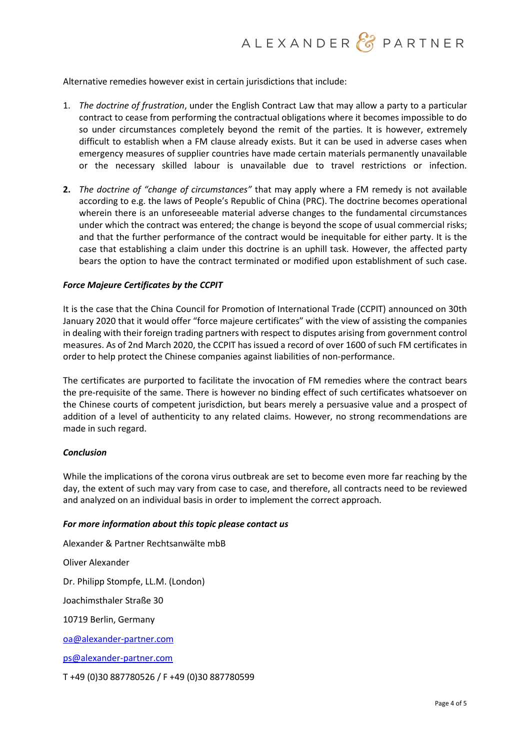Alternative remedies however exist in certain jurisdictions that include:

- 1. *The doctrine of frustration*, under the English Contract Law that may allow a party to a particular contract to cease from performing the contractual obligations where it becomes impossible to do so under circumstances completely beyond the remit of the parties. It is however, extremely difficult to establish when a FM clause already exists. But it can be used in adverse cases when emergency measures of supplier countries have made certain materials permanently unavailable or the necessary skilled labour is unavailable due to travel restrictions or infection.
- **2.** *The doctrine of "change of circumstances"* that may apply where a FM remedy is not available according to e.g. the laws of People's Republic of China (PRC). The doctrine becomes operational wherein there is an unforeseeable material adverse changes to the fundamental circumstances under which the contract was entered; the change is beyond the scope of usual commercial risks; and that the further performance of the contract would be inequitable for either party. It is the case that establishing a claim under this doctrine is an uphill task. However, the affected party bears the option to have the contract terminated or modified upon establishment of such case.

## *Force Majeure Certificates by the CCPIT*

It is the case that the China Council for Promotion of International Trade (CCPIT) announced on 30th January 2020 that it would offer "force majeure certificates" with the view of assisting the companies in dealing with their foreign trading partners with respect to disputes arising from government control measures. As of 2nd March 2020, the CCPIT has issued a record of over 1600 of such FM certificates in order to help protect the Chinese companies against liabilities of non-performance.

The certificates are purported to facilitate the invocation of FM remedies where the contract bears the pre-requisite of the same. There is however no binding effect of such certificates whatsoever on the Chinese courts of competent jurisdiction, but bears merely a persuasive value and a prospect of addition of a level of authenticity to any related claims. However, no strong recommendations are made in such regard.

#### *Conclusion*

While the implications of the corona virus outbreak are set to become even more far reaching by the day, the extent of such may vary from case to case, and therefore, all contracts need to be reviewed and analyzed on an individual basis in order to implement the correct approach.

#### *For more information about this topic please contact us*

Alexander & Partner Rechtsanwälte mbB Oliver Alexander Dr. Philipp Stompfe, LL.M. (London) Joachimsthaler Straße 30 10719 Berlin, Germany [oa@alexander-partner.com](mailto:oa@alexander-partner.com) [ps@alexander-partner.com](mailto:ps@alexander-partner.com)

T +49 (0)30 887780526 / F +49 (0)30 887780599